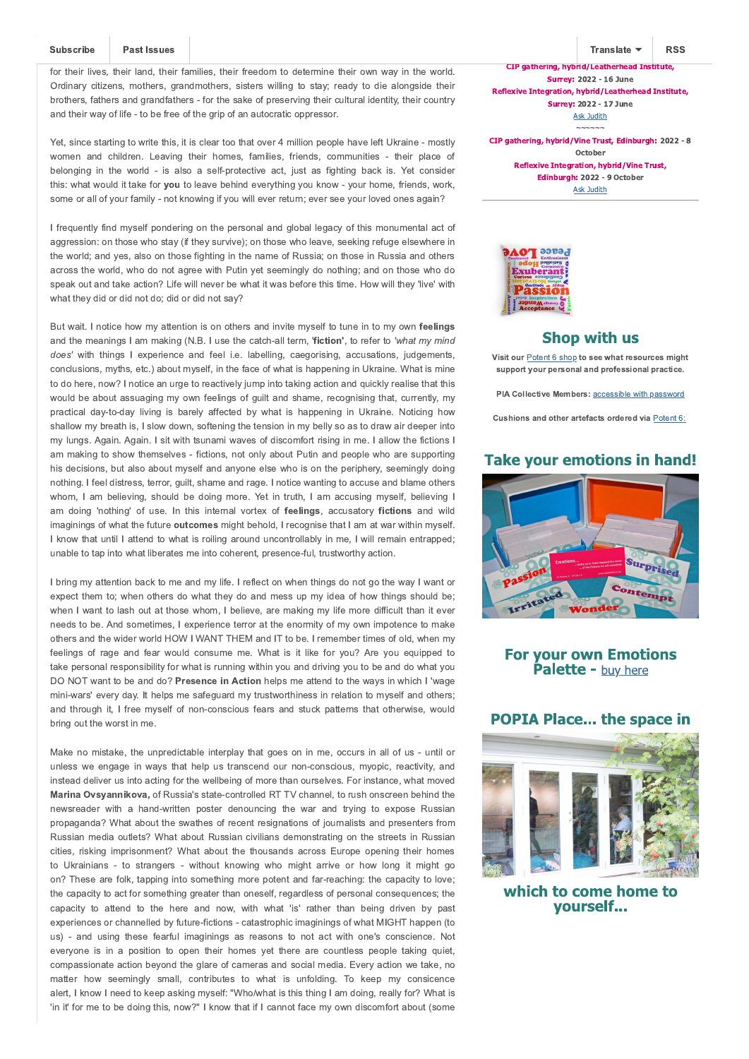Subsc ibe ast Issues<br>not ant c pate that so many Ukran an people would stay to de end/protect themselves; to ht... or the r I ves, the r land, the r am I es, the r reedom to determ ne the r own way n the world. Ord nary ctzens, mothers, randmothers, ssters wlln to stay; ready to de alon s de the r brothers, athers and rand athers - or the sake o preserv n the r cultural dent ty, the r country and the r way  $o \mid e$  - to be ree  $o \mid e$  rpo an autocrat c oppressor.

Yet, s nce start n to wr te th s, t s clear too that over 4 m II on people have let Ukra ne - mostly women and chidren. Leavn ther homes, amiles, rends, communites - ther place o belon n n the world - s also a sel-protect ve act, just as htn back s. Yet consider th s: what would t take or you to leave beh nd everyth n you know - your home, rends, work, some or all o your am ly - not know n you w ll ever return; ever see your loved ones a an?

I requently nd mysel pondern on the personal and lobal le acy o this monumental act o a ress on: on those who stay ( they surv ve); on those who leave, seek n re u e elsewhere n the world; and ves, also on those ht n n the name o Russ a; on those n Russ a and others across the world, who do not a ree w th Put n yet seem n ly do noth n ; and on those who do speak out and take act on? L e w II never be what t was be ore th s t me. How w II they 'I ve' w th what they d d or d d not do: d d or d d not say?

But wat. I not ce how my attent on s on others and nv te mysel to tune n to my own feelin s and the mean n s I am mak n ( .B. I use the catch-all term, 'fiction, to re er to

w th thn s I e perence and eel .e. labell n, cae orsn, accusations, jud ements, conclus ons, myths, etc.) about mysel, n the ace o what s happen n n Ukra ne. hat s m ne to do here, now? I not ce an ur e to react vely jump nto tak n act on and qu ckly real se that th s would be about assua n my own eeln s o ult and shame, reconsn that, currently, my pract cal day-to-day Ivn s barely a ected by what s happenn n Ukrane. ot cn how shallow my breath s, I slow down, so ten n the tens on n my belly so as to draw a r deeper nto my lun s. A an. A an. I stwth tsunam waves o dscom ort rsn nme. I allow the ctons I am mak n to show themselves - ct ons, not only about Put n and people who are support n h s dec s ons, but also about mysel and anyone else who s on the per phery, seem n ly do n noth n . I eel d stress, terror, ult, shame and ra e. I not ce want n to accuse and blame others whom, I am belevn, should be don more. Yet n truth, I am accusn mysel, belevn I am don 'nothn' o use. In ths nternal vorte o feelin s, accusatory fictions and wid ma nn so what the uture outco es m ht behold, I reco n se that I am at war w th n mysel. I know that untI I attend to what s roln around uncontrollably n me, I w II reman entrapped; unable to tap nto what I berates me nto coherent, presence- ul, trustworthy act on.

I brn my attent on back to me and my I e. I re lect on when th n s do not o the way I want or e pect them to; when others do what they do and mess up my dea o how thn s should be; when I want to lash out at those whom, I bel eve, are makn my I e more d cult than t ever needs to be. And somet mes, I e per ence terror at the enorm ty o my own mpotence to make others and the w der world HO | A TTH and IT to be. I remember t mes o old, when my eeln s o ra e and ear would consume me. hat s t lke or you? Are you equpped to take personal respons blty or what s runn n w th n you and dr v n you to be and do what you O OT want to be and do? esence in ction helps me attend to the ways n wh ch I 'wa e m n -wars' every day. It helps me sa e uard my trustworth ness n relat on to mysel and others; and throu h t, I ree mysel o non-conscous ears and stuck patterns that otherw se, would brn out the worst n me.

ake no m stake, the unpred ctable nterplay that oes on n me, occurs n all o us - unt l or unless we en a e n ways that help us transcend our non-conscous, myop c, react v ty, and nstead del ver us nto act n or the wellbe n o more than ourselves. or nstance, what moved a ina syanni o a o Russ a's state-controlled RTT channel, to rush onscreen behnd the newsreader w th a hand-written poster denouncin the war and tryin to e pose Russian propa anda? hat about the swathes o recent res nations o journal sts and presenters rom Russ an med a outlets? hat about Russ an c v l ans demonstrat n on the streets n Russ an ctes, rsk n mpr sonment? hat about the thousands across urope open n the r homes to Ukranans - to stran ers - w thout known who m ht arr ve or how lon t m ht o on? These are olk, tapp n nto someth n more potent and ar-reach n : the capacty to love; the capac ty to act or someth n reater than onesel, re ardless o personal consequences; the capacty to attend to the here and now, wth what 's' rather than ben drven by past e per ences or channelled by uture- ct ons - catastroph c ma nn s o what I HT happen (to us) - and us n these ear ul ma nn s as reasons to not act wth one's conscence. ot everyone s n a poston to open the r homes yet there are countless people takn quet, compass onate act on beyond the lare o cameras and soc al med a. very act on we take, no matter how seemn ly small, contrbutes to what s unoldn. To keep my conscence alert, I know I need to keep ask n mysel: ho/what s th s th n I am do n, really or? hat s 'n t' or me to be don th s, now? I know that I cannot ace my own d scom ort about (some

T anslate **RSS** CIP gathering, hybrid/Leatherhead Institute **Surrey: 2022 - 16 June** Reflexive Integration, hybrid/Leatherhead Institute, **Surrey: 2022 - 17 June** Judith CIP gathering, hybrid/Vine Trust, Edinburgh: 2022 - 8 October Reflexive Integration, hybrid/Vine Trust. Edinburgh: 2022 - 9 October **Judith** 



### **Shop with us**

Visit ou Potent 6 shop to see what esou ces i ht suppo t you pe sonal and p ofessional p actice.

I Collecti e e be s: access ble w th password

Cushions and othe a tefacts o de ed ia Potent 6:

#### **Take your emotions in hand!**



**For your own Emotions Palette - buy here** 

#### **POPIA Place... the space in**



which to come home to vourself...